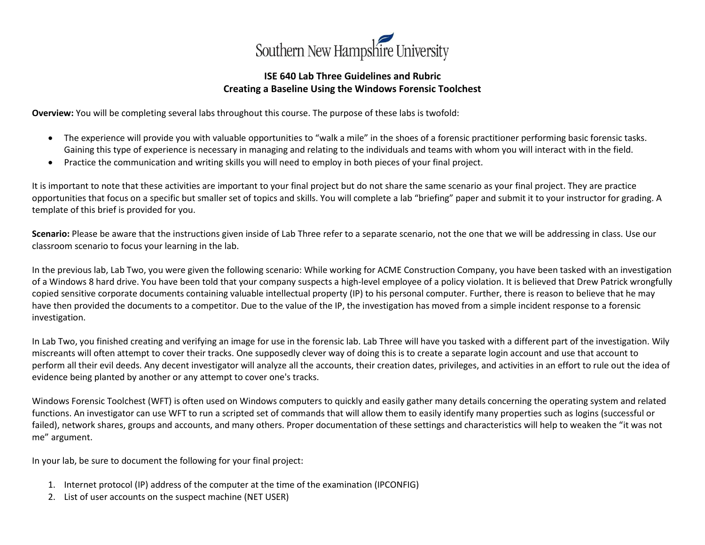

## **ISE 640 Lab Three Guidelines and Rubric Creating a Baseline Using the Windows Forensic Toolchest**

**Overview:** You will be completing several labs throughout this course. The purpose of these labs is twofold:

- The experience will provide you with valuable opportunities to "walk a mile" in the shoes of a forensic practitioner performing basic forensic tasks. Gaining this type of experience is necessary in managing and relating to the individuals and teams with whom you will interact with in the field.
- Practice the communication and writing skills you will need to employ in both pieces of your final project.

It is important to note that these activities are important to your final project but do not share the same scenario as your final project. They are practice opportunities that focus on a specific but smaller set of topics and skills. You will complete a lab "briefing" paper and submit it to your instructor for grading. A template of this brief is provided for you.

**Scenario:** Please be aware that the instructions given inside of Lab Three refer to a separate scenario, not the one that we will be addressing in class. Use our classroom scenario to focus your learning in the lab.

In the previous lab, Lab Two, you were given the following scenario: While working for ACME Construction Company, you have been tasked with an investigation of a Windows 8 hard drive. You have been told that your company suspects a high-level employee of a policy violation. It is believed that Drew Patrick wrongfully copied sensitive corporate documents containing valuable intellectual property (IP) to his personal computer. Further, there is reason to believe that he may have then provided the documents to a competitor. Due to the value of the IP, the investigation has moved from a simple incident response to a forensic investigation.

In Lab Two, you finished creating and verifying an image for use in the forensic lab. Lab Three will have you tasked with a different part of the investigation. Wily miscreants will often attempt to cover their tracks. One supposedly clever way of doing this is to create a separate login account and use that account to perform all their evil deeds. Any decent investigator will analyze all the accounts, their creation dates, privileges, and activities in an effort to rule out the idea of evidence being planted by another or any attempt to cover one's tracks.

Windows Forensic Toolchest (WFT) is often used on Windows computers to quickly and easily gather many details concerning the operating system and related functions. An investigator can use WFT to run a scripted set of commands that will allow them to easily identify many properties such as logins (successful or failed), network shares, groups and accounts, and many others. Proper documentation of these settings and characteristics will help to weaken the "it was not me" argument.

In your lab, be sure to document the following for your final project:

- 1. Internet protocol (IP) address of the computer at the time of the examination (IPCONFIG)
- 2. List of user accounts on the suspect machine (NET USER)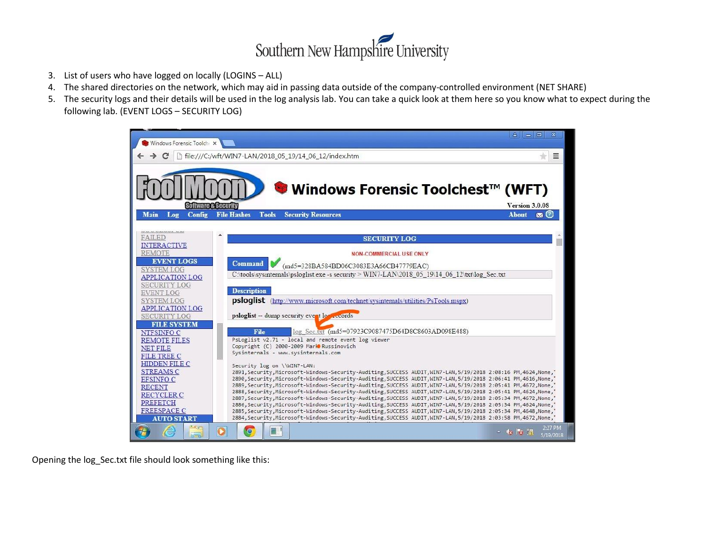

- 3. List of users who have logged on locally (LOGINS ALL)
- 4. The shared directories on the network, which may aid in passing data outside of the company-controlled environment (NET SHARE)
- 5. The security logs and their details will be used in the log analysis lab. You can take a quick look at them here so you know what to expect during the following lab. (EVENT LOGS – SECURITY LOG)



Opening the log\_Sec.txt file should look something like this: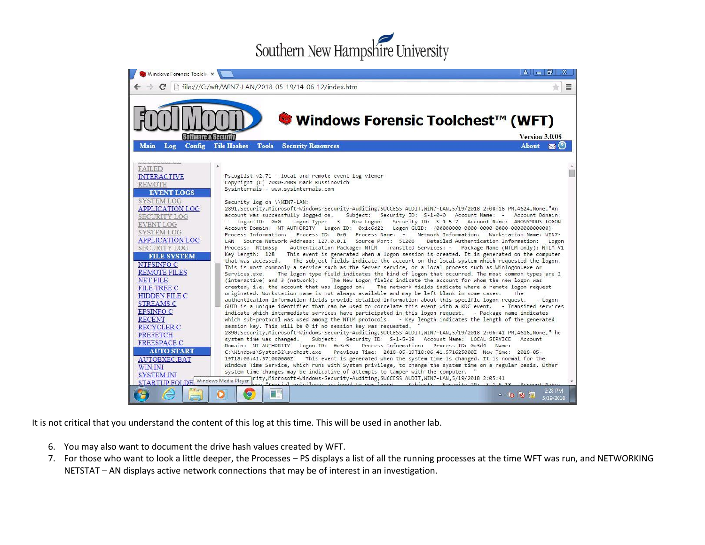## Southern New Hampshire University



It is not critical that you understand the content of this log at this time. This will be used in another lab.

- 6. You may also want to document the drive hash values created by WFT.
- 7. For those who want to look a little deeper, the Processes PS displays a list of all the running processes at the time WFT was run, and NETWORKING NETSTAT – AN displays active network connections that may be of interest in an investigation.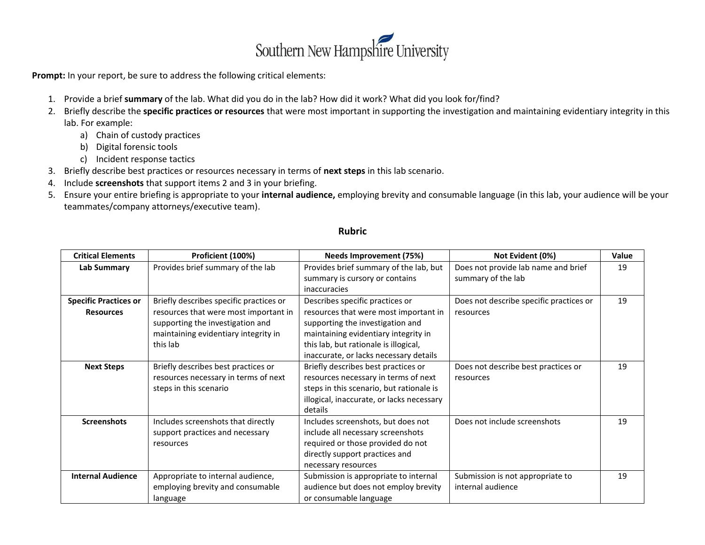

Prompt: In your report, be sure to address the following critical elements:

- 1. Provide a brief **summary** of the lab. What did you do in the lab? How did it work? What did you look for/find?
- 2. Briefly describe the **specific practices or resources** that were most important in supporting the investigation and maintaining evidentiary integrity in this lab. For example:
	- a) Chain of custody practices
	- b) Digital forensic tools
	- c) Incident response tactics
- 3. Briefly describe best practices or resources necessary in terms of **next steps** in this lab scenario.
- 4. Include **screenshots** that support items 2 and 3 in your briefing.
- 5. Ensure your entire briefing is appropriate to your **internal audience,** employing brevity and consumable language (in this lab, your audience will be your teammates/company attorneys/executive team).

| <b>Critical Elements</b>     | Proficient (100%)                       | Needs Improvement (75%)                   | Not Evident (0%)                        | <b>Value</b> |
|------------------------------|-----------------------------------------|-------------------------------------------|-----------------------------------------|--------------|
| Lab Summary                  | Provides brief summary of the lab       | Provides brief summary of the lab, but    | Does not provide lab name and brief     | 19           |
|                              |                                         | summary is cursory or contains            | summary of the lab                      |              |
|                              |                                         | inaccuracies                              |                                         |              |
| <b>Specific Practices or</b> | Briefly describes specific practices or | Describes specific practices or           | Does not describe specific practices or | 19           |
| <b>Resources</b>             | resources that were most important in   | resources that were most important in     | resources                               |              |
|                              | supporting the investigation and        | supporting the investigation and          |                                         |              |
|                              | maintaining evidentiary integrity in    | maintaining evidentiary integrity in      |                                         |              |
|                              | this lab                                | this lab, but rationale is illogical,     |                                         |              |
|                              |                                         | inaccurate, or lacks necessary details    |                                         |              |
| <b>Next Steps</b>            | Briefly describes best practices or     | Briefly describes best practices or       | Does not describe best practices or     | 19           |
|                              | resources necessary in terms of next    | resources necessary in terms of next      | resources                               |              |
|                              | steps in this scenario                  | steps in this scenario, but rationale is  |                                         |              |
|                              |                                         | illogical, inaccurate, or lacks necessary |                                         |              |
|                              |                                         | details                                   |                                         |              |
| <b>Screenshots</b>           | Includes screenshots that directly      | Includes screenshots, but does not        | Does not include screenshots            | 19           |
|                              | support practices and necessary         | include all necessary screenshots         |                                         |              |
|                              | resources                               | required or those provided do not         |                                         |              |
|                              |                                         | directly support practices and            |                                         |              |
|                              |                                         | necessary resources                       |                                         |              |
| <b>Internal Audience</b>     | Appropriate to internal audience,       | Submission is appropriate to internal     | Submission is not appropriate to        | 19           |
|                              | employing brevity and consumable        | audience but does not employ brevity      | internal audience                       |              |
|                              | language                                | or consumable language                    |                                         |              |

## **Rubric**